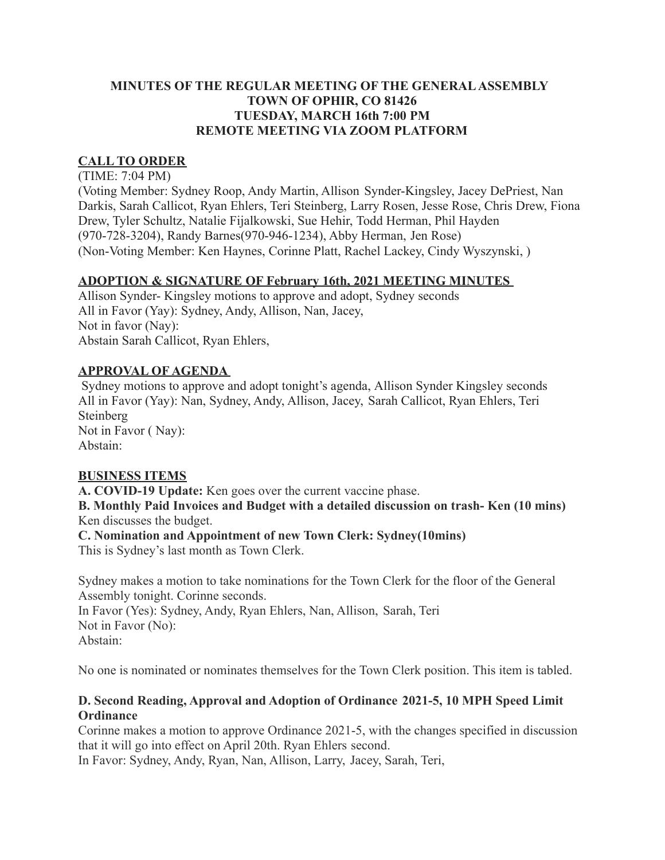### **MINUTES OF THE REGULAR MEETING OF THE GENERAL ASSEMBLY TOWN OF OPHIR, CO 81426 TUESDAY, MARCH 16th 7:00 PM REMOTE MEETING VIA ZOOM PLATFORM**

# **CALL TO ORDER**

(TIME: 7:04 PM)

(Voting Member: Sydney Roop, Andy Martin, Allison Synder-Kingsley, Jacey DePriest, Nan Darkis, Sarah Callicot, Ryan Ehlers, Teri Steinberg, Larry Rosen, Jesse Rose, Chris Drew, Fiona Drew, Tyler Schultz, Natalie Fijalkowski, Sue Hehir, Todd Herman, Phil Hayden (970-728-3204), Randy Barnes(970-946-1234), Abby Herman, Jen Rose) (Non-Voting Member: Ken Haynes, Corinne Platt, Rachel Lackey, Cindy Wyszynski, )

### **ADOPTION & SIGNATURE OF February 16th, 2021 MEETING MINUTES**

Allison Synder- Kingsley motions to approve and adopt, Sydney seconds All in Favor (Yay): Sydney, Andy, Allison, Nan, Jacey, Not in favor (Nay): Abstain Sarah Callicot, Ryan Ehlers,

### **APPROVAL OF AGENDA**

Sydney motions to approve and adopt tonight's agenda, Allison Synder Kingsley seconds All in Favor (Yay): Nan, Sydney, Andy, Allison, Jacey, Sarah Callicot, Ryan Ehlers, Teri **Steinberg** Not in Favor ( Nay): Abstain:

### **BUSINESS ITEMS**

**A. COVID-19 Update:** Ken goes over the current vaccine phase.

**B. Monthly Paid Invoices and Budget with a detailed discussion on trash- Ken (10 mins)** Ken discusses the budget.

**C. Nomination and Appointment of new Town Clerk: Sydney(10mins)** This is Sydney's last month as Town Clerk.

Sydney makes a motion to take nominations for the Town Clerk for the floor of the General Assembly tonight. Corinne seconds.

In Favor (Yes): Sydney, Andy, Ryan Ehlers, Nan, Allison, Sarah, Teri Not in Favor (No): Abstain:

No one is nominated or nominates themselves for the Town Clerk position. This item is tabled.

### **D. Second Reading, Approval and Adoption of Ordinance 2021-5, 10 MPH Speed Limit Ordinance**

Corinne makes a motion to approve Ordinance 2021-5, with the changes specified in discussion that it will go into effect on April 20th. Ryan Ehlers second.

In Favor: Sydney, Andy, Ryan, Nan, Allison, Larry, Jacey, Sarah, Teri,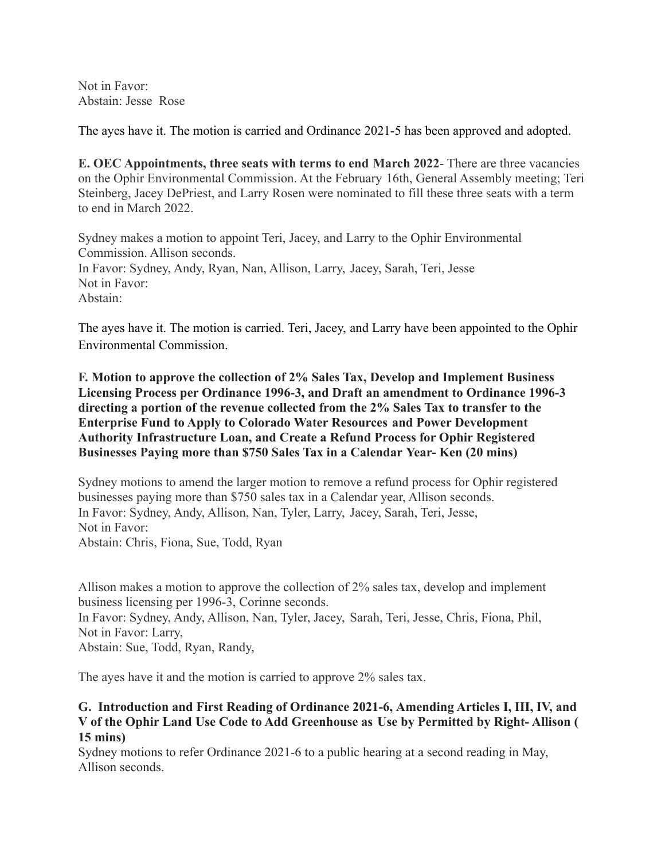Not in Favor: Abstain: Jesse Rose

The ayes have it. The motion is carried and Ordinance 2021-5 has been approved and adopted.

**E. OEC Appointments, three seats with terms to end March 2022**- There are three vacancies on the Ophir Environmental Commission. At the February 16th, General Assembly meeting; Teri Steinberg, Jacey DePriest, and Larry Rosen were nominated to fill these three seats with a term to end in March 2022.

Sydney makes a motion to appoint Teri, Jacey, and Larry to the Ophir Environmental Commission. Allison seconds. In Favor: Sydney, Andy, Ryan, Nan, Allison, Larry, Jacey, Sarah, Teri, Jesse Not in Favor: Abstain:

The ayes have it. The motion is carried. Teri, Jacey, and Larry have been appointed to the Ophir Environmental Commission.

**F. Motion to approve the collection of 2% Sales Tax, Develop and Implement Business Licensing Process per Ordinance 1996-3, and Draft an amendment to Ordinance 1996-3 directing a portion of the revenue collected from the 2% Sales Tax to transfer to the Enterprise Fund to Apply to Colorado Water Resources and Power Development Authority Infrastructure Loan, and Create a Refund Process for Ophir Registered Businesses Paying more than \$750 Sales Tax in a Calendar Year- Ken (20 mins)**

Sydney motions to amend the larger motion to remove a refund process for Ophir registered businesses paying more than \$750 sales tax in a Calendar year, Allison seconds. In Favor: Sydney, Andy, Allison, Nan, Tyler, Larry, Jacey, Sarah, Teri, Jesse, Not in Favor: Abstain: Chris, Fiona, Sue, Todd, Ryan

Allison makes a motion to approve the collection of 2% sales tax, develop and implement business licensing per 1996-3, Corinne seconds. In Favor: Sydney, Andy, Allison, Nan, Tyler, Jacey, Sarah, Teri, Jesse, Chris, Fiona, Phil, Not in Favor: Larry, Abstain: Sue, Todd, Ryan, Randy,

The ayes have it and the motion is carried to approve 2% sales tax.

#### **G. Introduction and First Reading of Ordinance 2021-6, Amending Articles I, III, IV, and V of the Ophir Land Use Code to Add Greenhouse as Use by Permitted by Right- Allison ( 15 mins)**

Sydney motions to refer Ordinance 2021-6 to a public hearing at a second reading in May, Allison seconds.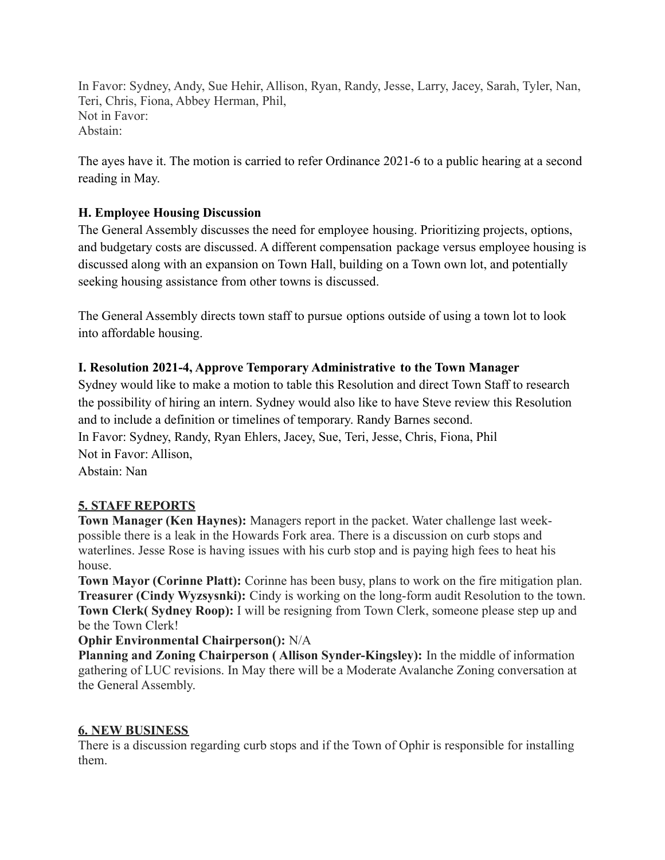In Favor: Sydney, Andy, Sue Hehir, Allison, Ryan, Randy, Jesse, Larry, Jacey, Sarah, Tyler, Nan, Teri, Chris, Fiona, Abbey Herman, Phil, Not in Favor: Abstain:

The ayes have it. The motion is carried to refer Ordinance 2021-6 to a public hearing at a second reading in May.

## **H. Employee Housing Discussion**

The General Assembly discusses the need for employee housing. Prioritizing projects, options, and budgetary costs are discussed. A different compensation package versus employee housing is discussed along with an expansion on Town Hall, building on a Town own lot, and potentially seeking housing assistance from other towns is discussed.

The General Assembly directs town staff to pursue options outside of using a town lot to look into affordable housing.

### **I. Resolution 2021-4, Approve Temporary Administrative to the Town Manager**

Sydney would like to make a motion to table this Resolution and direct Town Staff to research the possibility of hiring an intern. Sydney would also like to have Steve review this Resolution and to include a definition or timelines of temporary. Randy Barnes second. In Favor: Sydney, Randy, Ryan Ehlers, Jacey, Sue, Teri, Jesse, Chris, Fiona, Phil Not in Favor: Allison, Abstain: Nan

# **5. STAFF REPORTS**

**Town Manager (Ken Haynes):** Managers report in the packet. Water challenge last weekpossible there is a leak in the Howards Fork area. There is a discussion on curb stops and waterlines. Jesse Rose is having issues with his curb stop and is paying high fees to heat his house.

**Town Mayor (Corinne Platt):** Corinne has been busy, plans to work on the fire mitigation plan. **Treasurer (Cindy Wyzsysnki):** Cindy is working on the long-form audit Resolution to the town. **Town Clerk( Sydney Roop):** I will be resigning from Town Clerk, someone please step up and be the Town Clerk!

### **Ophir Environmental Chairperson():** N/A

**Planning and Zoning Chairperson ( Allison Synder-Kingsley):** In the middle of information gathering of LUC revisions. In May there will be a Moderate Avalanche Zoning conversation at the General Assembly.

### **6. NEW BUSINESS**

There is a discussion regarding curb stops and if the Town of Ophir is responsible for installing them.